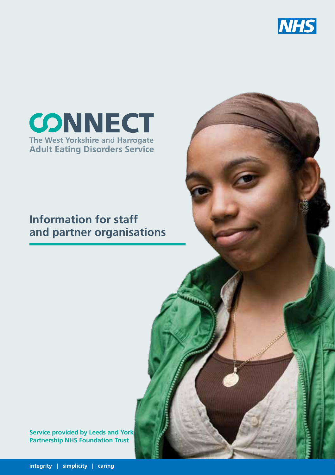



#### **Information for staff and partner organisations**

**Service provided by Leeds and York Partnership NHS Foundation Trust**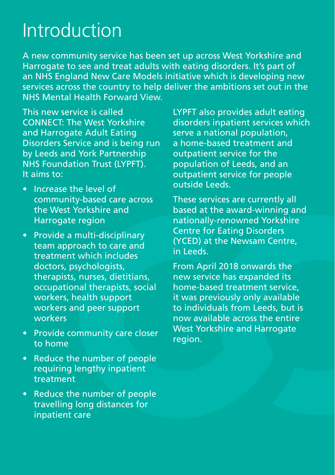## Introduction

A new community service has been set up across West Yorkshire and Harrogate to see and treat adults with eating disorders. It's part of an NHS England New Care Models initiative which is developing new services across the country to help deliver the ambitions set out in the NHS Mental Health Forward View.

This new service is called CONNECT: The West Yorkshire and Harrogate Adult Eating Disorders Service and is being run by Leeds and York Partnership NHS Foundation Trust (LYPFT). It aims to:

- Increase the level of community-based care across the West Yorkshire and Harrogate region
- Provide a multi-disciplinary team approach to care and treatment which includes doctors, psychologists, therapists, nurses, dietitians, occupational therapists, social workers, health support workers and peer support workers
- Provide community care closer to home
- Reduce the number of people requiring lengthy inpatient treatment
- • Reduce the number of people travelling long distances for inpatient care

LYPFT also provides adult eating disorders inpatient services which serve a national population, a home-based treatment and outpatient service for the population of Leeds, and an outpatient service for people outside Leeds.

These services are currently all based at the award-winning and nationally-renowned Yorkshire Centre for Eating Disorders (YCED) at the Newsam Centre, in Leeds.

From April 2018 onwards the new service has expanded its home-based treatment service, it was previously only available to individuals from Leeds, but is now available across the entire West Yorkshire and Harrogate region.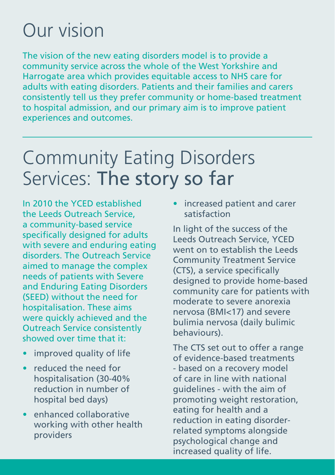# Our vision

The vision of the new eating disorders model is to provide a community service across the whole of the West Yorkshire and Harrogate area which provides equitable access to NHS care for adults with eating disorders. Patients and their families and carers consistently tell us they prefer community or home-based treatment to hospital admission, and our primary aim is to improve patient experiences and outcomes.

#### Community Eating Disorders Services: The story so far

In 2010 the YCED established the Leeds Outreach Service, a community-based service specifically designed for adults with severe and enduring eating disorders. The Outreach Service aimed to manage the complex needs of patients with Severe and Enduring Eating Disorders (SEED) without the need for hospitalisation. These aims were quickly achieved and the Outreach Service consistently showed over time that it:

- improved quality of life
- • reduced the need for hospitalisation (30-40% reduction in number of hospital bed days)
- enhanced collaborative working with other health providers

increased patient and carer satisfaction

In light of the success of the Leeds Outreach Service, YCED went on to establish the Leeds Community Treatment Service (CTS), a service specifically designed to provide home-based community care for patients with moderate to severe anorexia nervosa (BMI<17) and severe bulimia nervosa (daily bulimic behaviours).

The CTS set out to offer a range of evidence-based treatments - based on a recovery model of care in line with national guidelines - with the aim of promoting weight restoration, eating for health and a reduction in eating disorderrelated symptoms alongside psychological change and increased quality of life.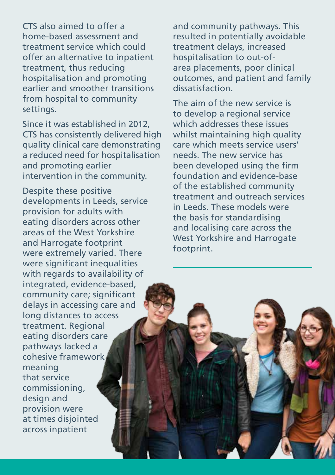CTS also aimed to offer a home-based assessment and treatment service which could offer an alternative to inpatient treatment, thus reducing hospitalisation and promoting earlier and smoother transitions from hospital to community settings.

Since it was established in 2012, CTS has consistently delivered high quality clinical care demonstrating a reduced need for hospitalisation and promoting earlier intervention in the community.

Despite these positive developments in Leeds, service provision for adults with eating disorders across other areas of the West Yorkshire and Harrogate footprint were extremely varied. There were significant inequalities with regards to availability of integrated, evidence-based, community care; significant delays in accessing care and long distances to access treatment. Regional eating disorders care pathways lacked a cohesive framework meaning that service commissioning, design and provision were at times disjointed across inpatient

and community pathways. This resulted in potentially avoidable treatment delays, increased hospitalisation to out-ofarea placements, poor clinical outcomes, and patient and family dissatisfaction.

The aim of the new service is to develop a regional service which addresses these issues whilst maintaining high quality care which meets service users' needs. The new service has been developed using the firm foundation and evidence-base of the established community treatment and outreach services in Leeds. These models were the basis for standardising and localising care across the West Yorkshire and Harrogate footprint.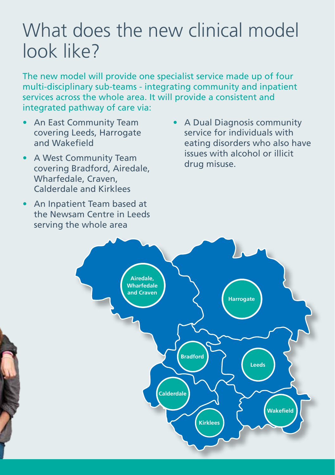### What does the new clinical model look like?

The new model will provide one specialist service made up of four multi-disciplinary sub-teams - integrating community and inpatient services across the whole area. It will provide a consistent and integrated pathway of care via:

- **An East Community Team** covering Leeds, Harrogate and Wakefield
- A West Community Team covering Bradford, Airedale, Wharfedale, Craven, Calderdale and Kirklees
- An Inpatient Team based at the Newsam Centre in Leeds serving the whole area
- A Dual Diagnosis community service for individuals with eating disorders who also have issues with alcohol or illicit drug misuse.

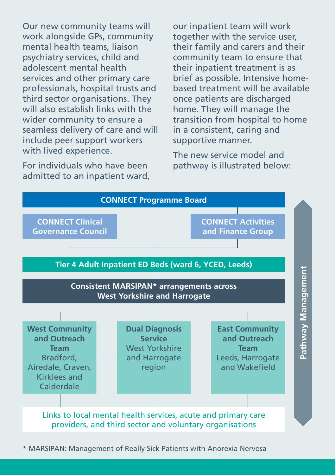Our new community teams will work alongside GPs, community mental health teams, liaison psychiatry services, child and adolescent mental health services and other primary care professionals, hospital trusts and third sector organisations. They will also establish links with the wider community to ensure a seamless delivery of care and will include peer support workers with lived experience.

For individuals who have been admitted to an inpatient ward, our inpatient team will work together with the service user, their family and carers and their community team to ensure that their inpatient treatment is as brief as possible. Intensive homebased treatment will be available once patients are discharged home. They will manage the transition from hospital to home in a consistent, caring and supportive manner.

The new service model and pathway is illustrated below:



\* MARSIPAN: Management of Really Sick Patients with Anorexia Nervosa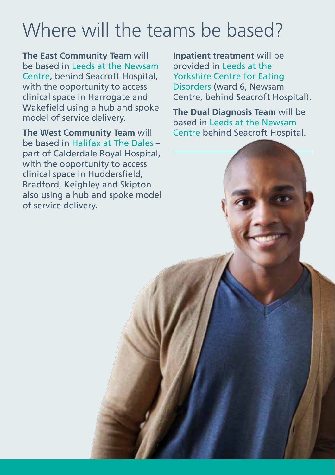# Where will the teams be based?

**The East Community Team** will be based in Leeds at the Newsam Centre, behind Seacroft Hospital, with the opportunity to access clinical space in Harrogate and Wakefield using a hub and spoke model of service delivery.

**The West Community Team** will be based in Halifax at The Dales – part of Calderdale Royal Hospital, with the opportunity to access clinical space in Huddersfield, Bradford, Keighley and Skipton also using a hub and spoke model of service delivery.

**Inpatient treatment** will be provided in Leeds at the Yorkshire Centre for Eating Disorders (ward 6, Newsam Centre, behind Seacroft Hospital).

**The Dual Diagnosis Team** will be based in Leeds at the Newsam Centre behind Seacroft Hospital.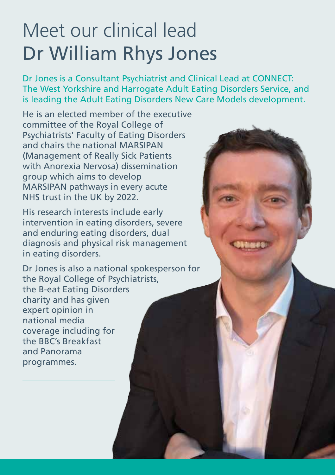# Meet our clinical lead Dr William Rhys Jones

Dr Jones is a Consultant Psychiatrist and Clinical Lead at CONNECT: The West Yorkshire and Harrogate Adult Eating Disorders Service, and is leading the Adult Eating Disorders New Care Models development.

He is an elected member of the executive committee of the Royal College of Psychiatrists' Faculty of Eating Disorders and chairs the national MARSIPAN (Management of Really Sick Patients with Anorexia Nervosa) dissemination group which aims to develop MARSIPAN pathways in every acute NHS trust in the UK by 2022.

His research interests include early intervention in eating disorders, severe and enduring eating disorders, dual diagnosis and physical risk management in eating disorders.

Dr Jones is also a national spokesperson for the Royal College of Psychiatrists, the B-eat Eating Disorders charity and has given expert opinion in national media coverage including for the BBC's Breakfast and Panorama programmes.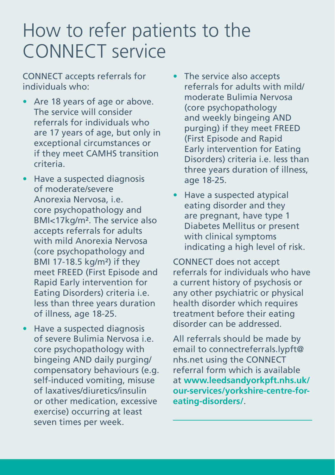### How to refer patients to the CONNECT service

CONNECT accepts referrals for individuals who:

- Are 18 years of age or above. The service will consider referrals for individuals who are 17 years of age, but only in exceptional circumstances or if they meet CAMHS transition criteria.
- Have a suspected diagnosis of moderate/severe Anorexia Nervosa, i.e. core psychopathology and BMI<17kg/m². The service also accepts referrals for adults with mild Anorexia Nervosa (core psychopathology and BMI 17-18.5 kg/m²) if they meet FREED (First Episode and Rapid Early intervention for Eating Disorders) criteria i.e. less than three years duration of illness, age 18-25.
- Have a suspected diagnosis of severe Bulimia Nervosa i.e. core psychopathology with bingeing AND daily purging/ compensatory behaviours (e.g. self-induced vomiting, misuse of laxatives/diuretics/insulin or other medication, excessive exercise) occurring at least seven times per week.
- The service also accepts referrals for adults with mild/ moderate Bulimia Nervosa (core psychopathology and weekly bingeing AND purging) if they meet FREED (First Episode and Rapid Early intervention for Eating Disorders) criteria i.e. less than three years duration of illness, age 18-25.
- Have a suspected atypical eating disorder and they are pregnant, have type 1 Diabetes Mellitus or present with clinical symptoms indicating a high level of risk.

CONNECT does not accept referrals for individuals who have a current history of psychosis or any other psychiatric or physical health disorder which requires treatment before their eating disorder can be addressed.

All referrals should be made by email to connectreferrals.lypft@ nhs.net using the CONNECT referral form which is available at **www.leedsandyorkpft.nhs.uk/ our-services/yorkshire-centre-foreating-disorders/**.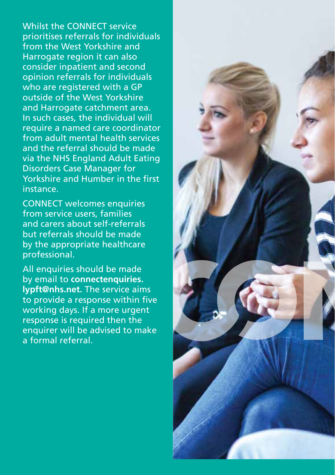Whilst the CONNECT service prioritises referrals for individuals from the West Yorkshire and Harrogate region it can also consider inpatient and second opinion referrals for individuals who are registered with a GP outside of the West Yorkshire and Harrogate catchment area. In such cases, the individual will require a named care coordinator from adult mental health services and the referral should be made via the NHS England Adult Eating Disorders Case Manager for Yorkshire and Humber in the first instance.

CONNECT welcomes enquiries from service users, families and carers about self-referrals but referrals should be made by the appropriate healthcare professional.

All enquiries should be made by email to **connectenquiries. lypft@nhs.net.** The service aims to provide a response within five working days. If a more urgent response is required then the enquirer will be advised to make a formal referral.

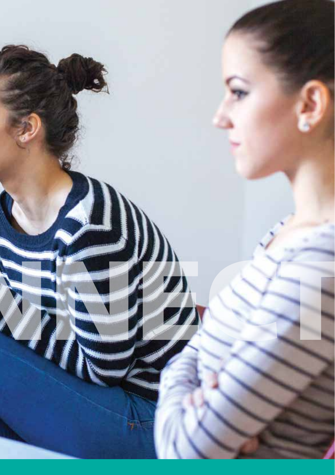